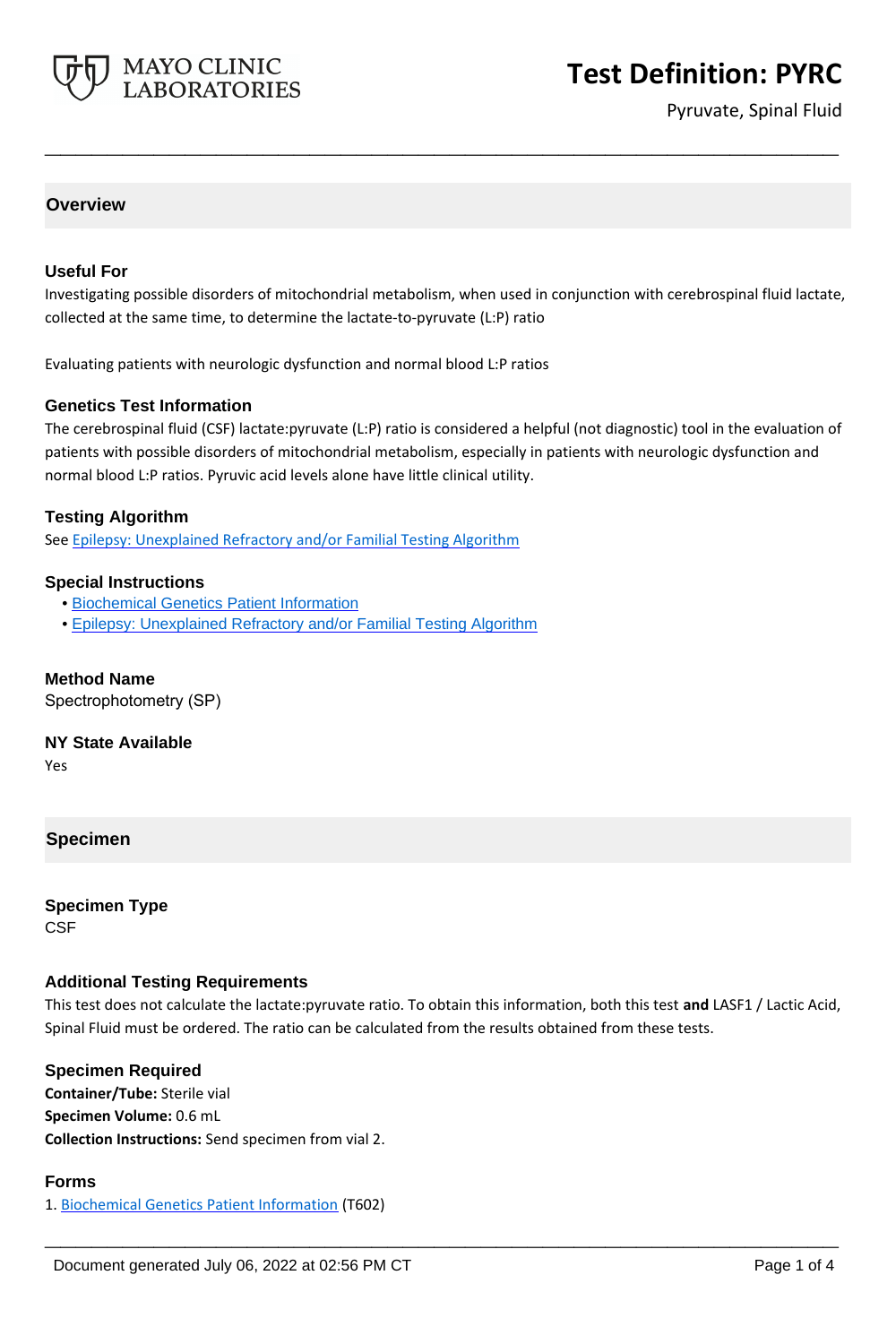

# **Test Definition: PYRC**

Pyruvate, Spinal Fluid

#### **Overview**

#### **Useful For**

Investigating possible disorders of mitochondrial metabolism, when used in conjunction with cerebrospinal fluid lactate, collected at the same time, to determine the lactate-to-pyruvate (L:P) ratio

**\_\_\_\_\_\_\_\_\_\_\_\_\_\_\_\_\_\_\_\_\_\_\_\_\_\_\_\_\_\_\_\_\_\_\_\_\_\_\_\_\_\_\_\_\_\_\_\_\_\_\_**

Evaluating patients with neurologic dysfunction and normal blood L:P ratios

#### **Genetics Test Information**

The cerebrospinal fluid (CSF) lactate:pyruvate (L:P) ratio is considered a helpful (not diagnostic) tool in the evaluation of patients with possible disorders of mitochondrial metabolism, especially in patients with neurologic dysfunction and normal blood L:P ratios. Pyruvic acid levels alone have little clinical utility.

#### **Testing Algorithm**

See [Epilepsy: Unexplained Refractory and/or Familial Testing Algorithm](https://www.mayocliniclabs.com/it-mmfiles/Epilepsy_Unexplained_Refractory_and_or_Familial_Testing_Algorithm.pdf)

#### **Special Instructions**

- • [Biochemical Genetics Patient Information](http://www.mayocliniclabs.com/it-mmfiles/BiochemicalPtInfo.pdf)
- • [Epilepsy: Unexplained Refractory and/or Familial Testing Algorithm](https://www.mayocliniclabs.com/it-mmfiles/Epilepsy_Unexplained_Refractory_and_or_Familial_Testing_Algorithm.pdf)

#### **Method Name**

Spectrophotometry (SP)

#### **NY State Available**

Yes

#### **Specimen**

**Specimen Type CSF** 

#### **Additional Testing Requirements**

This test does not calculate the lactate:pyruvate ratio. To obtain this information, both this test **and** LASF1 / Lactic Acid, Spinal Fluid must be ordered. The ratio can be calculated from the results obtained from these tests.

**\_\_\_\_\_\_\_\_\_\_\_\_\_\_\_\_\_\_\_\_\_\_\_\_\_\_\_\_\_\_\_\_\_\_\_\_\_\_\_\_\_\_\_\_\_\_\_\_\_\_\_**

**Specimen Required Container/Tube:** Sterile vial **Specimen Volume:** 0.6 mL **Collection Instructions:** Send specimen from vial 2.

#### **Forms**

1. [Biochemical Genetics Patient Information](http://www.mayocliniclabs.com/it-mmfiles/BiochemicalPtInfo.pdf) (T602)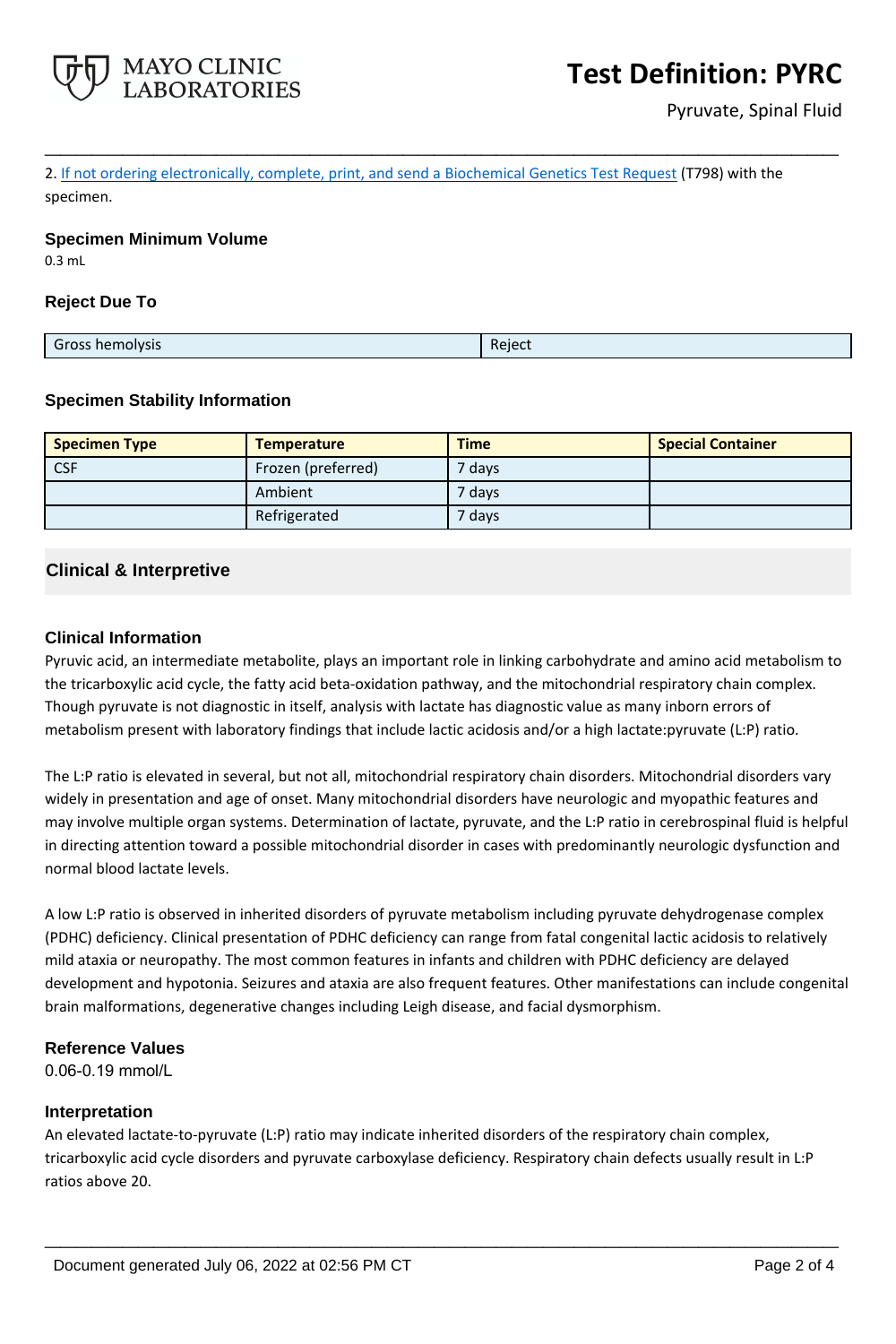

2. If not ordering electronically, complete, print, and send a [Biochemical Genetics Test Request](https://www.mayocliniclabs.com/it-mmfiles/iem-request-form.pdf) (T798) with the specimen.

**\_\_\_\_\_\_\_\_\_\_\_\_\_\_\_\_\_\_\_\_\_\_\_\_\_\_\_\_\_\_\_\_\_\_\_\_\_\_\_\_\_\_\_\_\_\_\_\_\_\_\_**

#### **Specimen Minimum Volume**

0.3 mL

#### **Reject Due To**

| Reject<br>Gross<br>_ross hemolysis_ |
|-------------------------------------|
|-------------------------------------|

#### **Specimen Stability Information**

| <b>Specimen Type</b> | <b>Temperature</b> | <b>Time</b> | <b>Special Container</b> |
|----------------------|--------------------|-------------|--------------------------|
| <b>CSF</b>           | Frozen (preferred) | 7 days      |                          |
|                      | Ambient            | 7 days      |                          |
|                      | Refrigerated       | 7 days      |                          |

### **Clinical & Interpretive**

#### **Clinical Information**

Pyruvic acid, an intermediate metabolite, plays an important role in linking carbohydrate and amino acid metabolism to the tricarboxylic acid cycle, the fatty acid beta-oxidation pathway, and the mitochondrial respiratory chain complex. Though pyruvate is not diagnostic in itself, analysis with lactate has diagnostic value as many inborn errors of metabolism present with laboratory findings that include lactic acidosis and/or a high lactate:pyruvate (L:P) ratio.

The L:P ratio is elevated in several, but not all, mitochondrial respiratory chain disorders. Mitochondrial disorders vary widely in presentation and age of onset. Many mitochondrial disorders have neurologic and myopathic features and may involve multiple organ systems. Determination of lactate, pyruvate, and the L:P ratio in cerebrospinal fluid is helpful in directing attention toward a possible mitochondrial disorder in cases with predominantly neurologic dysfunction and normal blood lactate levels.

A low L:P ratio is observed in inherited disorders of pyruvate metabolism including pyruvate dehydrogenase complex (PDHC) deficiency. Clinical presentation of PDHC deficiency can range from fatal congenital lactic acidosis to relatively mild ataxia or neuropathy. The most common features in infants and children with PDHC deficiency are delayed development and hypotonia. Seizures and ataxia are also frequent features. Other manifestations can include congenital brain malformations, degenerative changes including Leigh disease, and facial dysmorphism.

#### **Reference Values**

0.06-0.19 mmol/L

#### **Interpretation**

An elevated lactate-to-pyruvate (L:P) ratio may indicate inherited disorders of the respiratory chain complex, tricarboxylic acid cycle disorders and pyruvate carboxylase deficiency. Respiratory chain defects usually result in L:P ratios above 20.

**\_\_\_\_\_\_\_\_\_\_\_\_\_\_\_\_\_\_\_\_\_\_\_\_\_\_\_\_\_\_\_\_\_\_\_\_\_\_\_\_\_\_\_\_\_\_\_\_\_\_\_**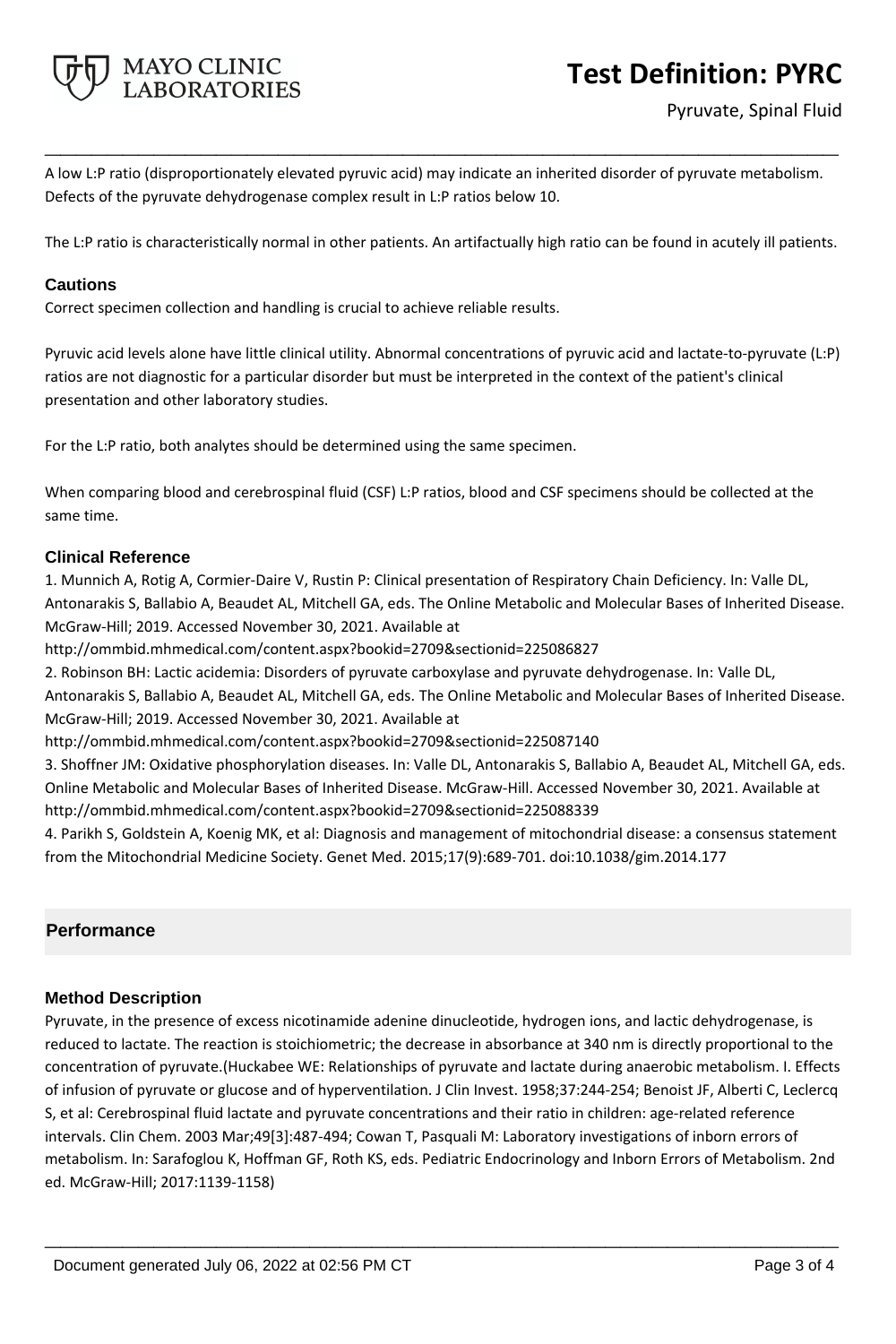

# **Test Definition: PYRC**

A low L:P ratio (disproportionately elevated pyruvic acid) may indicate an inherited disorder of pyruvate metabolism. Defects of the pyruvate dehydrogenase complex result in L:P ratios below 10.

**\_\_\_\_\_\_\_\_\_\_\_\_\_\_\_\_\_\_\_\_\_\_\_\_\_\_\_\_\_\_\_\_\_\_\_\_\_\_\_\_\_\_\_\_\_\_\_\_\_\_\_**

The L:P ratio is characteristically normal in other patients. An artifactually high ratio can be found in acutely ill patients.

#### **Cautions**

Correct specimen collection and handling is crucial to achieve reliable results.

Pyruvic acid levels alone have little clinical utility. Abnormal concentrations of pyruvic acid and lactate-to-pyruvate (L:P) ratios are not diagnostic for a particular disorder but must be interpreted in the context of the patient's clinical presentation and other laboratory studies.

For the L:P ratio, both analytes should be determined using the same specimen.

When comparing blood and cerebrospinal fluid (CSF) L:P ratios, blood and CSF specimens should be collected at the same time.

#### **Clinical Reference**

1. Munnich A, Rotig A, Cormier-Daire V, Rustin P: Clinical presentation of Respiratory Chain Deficiency. In: Valle DL, Antonarakis S, Ballabio A, Beaudet AL, Mitchell GA, eds. The Online Metabolic and Molecular Bases of Inherited Disease. McGraw-Hill; 2019. Accessed November 30, 2021. Available at

http://ommbid.mhmedical.com/content.aspx?bookid=2709&sectionid=225086827

2. Robinson BH: Lactic acidemia: Disorders of pyruvate carboxylase and pyruvate dehydrogenase. In: Valle DL,

Antonarakis S, Ballabio A, Beaudet AL, Mitchell GA, eds. The Online Metabolic and Molecular Bases of Inherited Disease. McGraw-Hill; 2019. Accessed November 30, 2021. Available at

http://ommbid.mhmedical.com/content.aspx?bookid=2709&sectionid=225087140

3. Shoffner JM: Oxidative phosphorylation diseases. In: Valle DL, Antonarakis S, Ballabio A, Beaudet AL, Mitchell GA, eds. Online Metabolic and Molecular Bases of Inherited Disease. McGraw-Hill. Accessed November 30, 2021. Available at http://ommbid.mhmedical.com/content.aspx?bookid=2709&sectionid=225088339

4. Parikh S, Goldstein A, Koenig MK, et al: Diagnosis and management of mitochondrial disease: a consensus statement from the Mitochondrial Medicine Society. Genet Med. 2015;17(9):689-701. doi:10.1038/gim.2014.177

### **Performance**

#### **Method Description**

Pyruvate, in the presence of excess nicotinamide adenine dinucleotide, hydrogen ions, and lactic dehydrogenase, is reduced to lactate. The reaction is stoichiometric; the decrease in absorbance at 340 nm is directly proportional to the concentration of pyruvate.(Huckabee WE: Relationships of pyruvate and lactate during anaerobic metabolism. I. Effects of infusion of pyruvate or glucose and of hyperventilation. J Clin Invest. 1958;37:244-254; Benoist JF, Alberti C, Leclercq S, et al: Cerebrospinal fluid lactate and pyruvate concentrations and their ratio in children: age-related reference intervals. Clin Chem. 2003 Mar;49[3]:487-494; Cowan T, Pasquali M: Laboratory investigations of inborn errors of metabolism. In: Sarafoglou K, Hoffman GF, Roth KS, eds. Pediatric Endocrinology and Inborn Errors of Metabolism. 2nd ed. McGraw-Hill; 2017:1139-1158)

**\_\_\_\_\_\_\_\_\_\_\_\_\_\_\_\_\_\_\_\_\_\_\_\_\_\_\_\_\_\_\_\_\_\_\_\_\_\_\_\_\_\_\_\_\_\_\_\_\_\_\_**